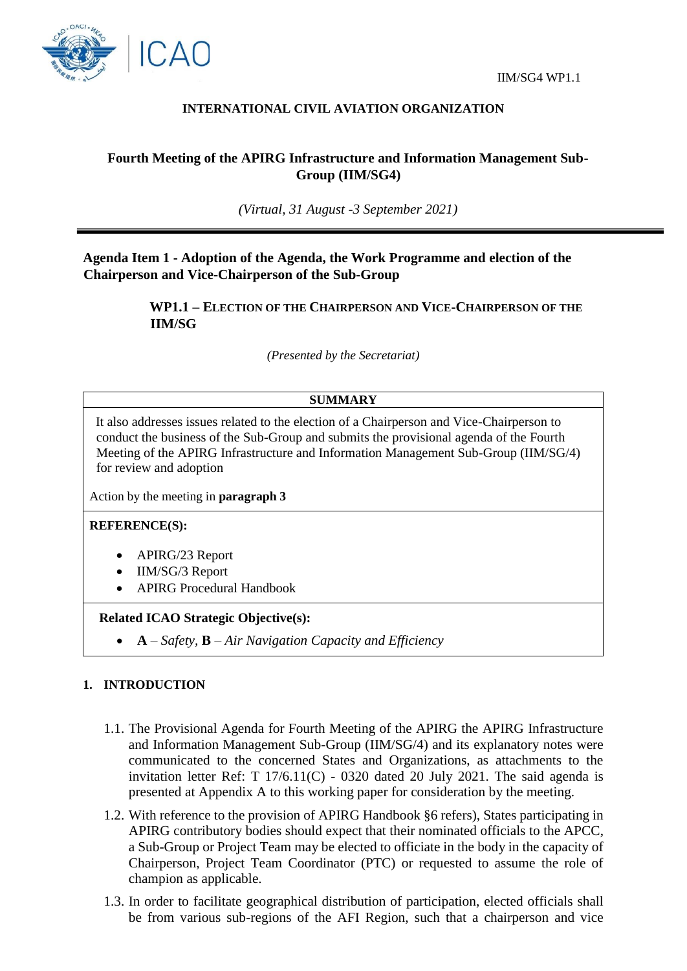



## **INTERNATIONAL CIVIL AVIATION ORGANIZATION**

# **Fourth Meeting of the APIRG Infrastructure and Information Management Sub-Group (IIM/SG4)**

*(Virtual, 31 August -3 September 2021)*

**Agenda Item 1 - Adoption of the Agenda, the Work Programme and election of the Chairperson and Vice-Chairperson of the Sub-Group**

> **WP1.1 – ELECTION OF THE CHAIRPERSON AND VICE-CHAIRPERSON OF THE IIM/SG**

> > *(Presented by the Secretariat)*

### **SUMMARY**

It also addresses issues related to the election of a Chairperson and Vice-Chairperson to conduct the business of the Sub-Group and submits the provisional agenda of the Fourth Meeting of the APIRG Infrastructure and Information Management Sub-Group (IIM/SG/4) for review and adoption

Action by the meeting in **paragraph 3**

#### **REFERENCE(S):**

- APIRG/23 Report
- IIM/SG/3 Report
- APIRG Procedural Handbook

#### **Related ICAO Strategic Objective(s):**

**A** – *Safety,* **B** – *Air Navigation Capacity and Efficiency*

### **1. INTRODUCTION**

- 1.1. The Provisional Agenda for Fourth Meeting of the APIRG the APIRG Infrastructure and Information Management Sub-Group (IIM/SG/4) and its explanatory notes were communicated to the concerned States and Organizations, as attachments to the invitation letter Ref: T  $17/6.11(C)$  - 0320 dated 20 July 2021. The said agenda is presented at Appendix A to this working paper for consideration by the meeting.
- 1.2. With reference to the provision of APIRG Handbook §6 refers), States participating in APIRG contributory bodies should expect that their nominated officials to the APCC, a Sub-Group or Project Team may be elected to officiate in the body in the capacity of Chairperson, Project Team Coordinator (PTC) or requested to assume the role of champion as applicable.
- 1.3. In order to facilitate geographical distribution of participation, elected officials shall be from various sub-regions of the AFI Region, such that a chairperson and vice